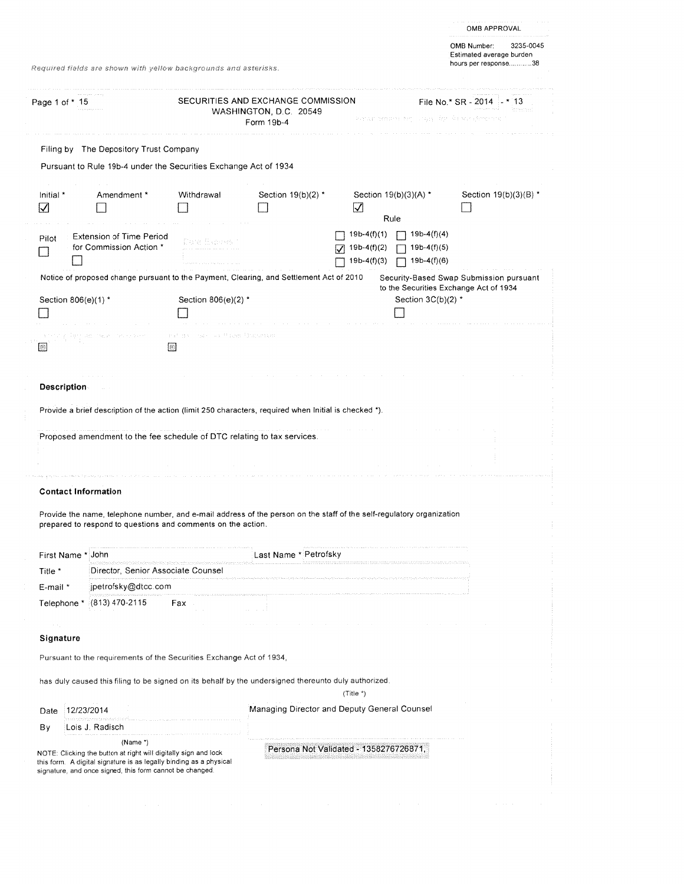|                                                                                                                |                                                                                                                                                                                       |                     |                                                                                                                     |                                                 |                                                                                                                     | OMB APPROVAL                                                                 |  |
|----------------------------------------------------------------------------------------------------------------|---------------------------------------------------------------------------------------------------------------------------------------------------------------------------------------|---------------------|---------------------------------------------------------------------------------------------------------------------|-------------------------------------------------|---------------------------------------------------------------------------------------------------------------------|------------------------------------------------------------------------------|--|
| Required fields are shown with yellow backgrounds and asterisks.                                               |                                                                                                                                                                                       |                     |                                                                                                                     |                                                 |                                                                                                                     | 3235-0045<br>OMB Number:<br>Estimated average burden<br>hours per response38 |  |
| Page 1 of * 15                                                                                                 |                                                                                                                                                                                       |                     | SECURITIES AND EXCHANGE COMMISSION<br>WASHINGTON, D.C. 20549                                                        |                                                 |                                                                                                                     | File No.* $SR - 2014 - * 13$<br>koreanad                                     |  |
|                                                                                                                |                                                                                                                                                                                       |                     | Form 19b-4                                                                                                          |                                                 | Parameters for the formula of the second of the state.                                                              |                                                                              |  |
|                                                                                                                | Filing by The Depository Trust Company                                                                                                                                                |                     |                                                                                                                     |                                                 |                                                                                                                     |                                                                              |  |
|                                                                                                                | Pursuant to Rule 19b-4 under the Securities Exchange Act of 1934                                                                                                                      |                     |                                                                                                                     |                                                 |                                                                                                                     |                                                                              |  |
| Initial *<br>☑                                                                                                 | Amendment *                                                                                                                                                                           | Withdrawal          | Section 19(b)(2) *                                                                                                  | ☑                                               | Section $19(b)(3)(A)$ *                                                                                             | Section 19(b)(3)(B) *                                                        |  |
|                                                                                                                |                                                                                                                                                                                       |                     |                                                                                                                     |                                                 | Rule                                                                                                                |                                                                              |  |
| Pilot                                                                                                          | <b>Extension of Time Period</b><br>for Commission Action *                                                                                                                            |                     |                                                                                                                     | $19b-4(f)(1)$<br>$19b-4(f)(2)$<br>$19b-4(f)(3)$ | $19b-4(f)(4)$<br>$19b-4(f)(5)$<br>$19b-4(f)(6)$                                                                     |                                                                              |  |
|                                                                                                                |                                                                                                                                                                                       |                     |                                                                                                                     |                                                 |                                                                                                                     | Security-Based Swap Submission pursuant                                      |  |
| Notice of proposed change pursuant to the Payment, Clearing, and Settlement Act of 2010<br>Section 806(e)(1) * |                                                                                                                                                                                       | Section 806(e)(2) * |                                                                                                                     |                                                 | Section $3C(b)(2)$ *                                                                                                | to the Securities Exchange Act of 1934                                       |  |
|                                                                                                                |                                                                                                                                                                                       |                     |                                                                                                                     |                                                 |                                                                                                                     |                                                                              |  |
|                                                                                                                | Description                                                                                                                                                                           |                     |                                                                                                                     |                                                 |                                                                                                                     |                                                                              |  |
|                                                                                                                | Provide a brief description of the action (limit 250 characters, required when Initial is checked *).                                                                                 |                     |                                                                                                                     |                                                 |                                                                                                                     |                                                                              |  |
|                                                                                                                | Proposed amendment to the fee schedule of DTC relating to tax services.                                                                                                               |                     |                                                                                                                     |                                                 |                                                                                                                     |                                                                              |  |
|                                                                                                                | <b>Contact Information</b>                                                                                                                                                            |                     |                                                                                                                     |                                                 |                                                                                                                     |                                                                              |  |
|                                                                                                                | Provide the name, telephone number, and e-mail address of the person on the staff of the self-regulatory organization<br>prepared to respond to questions and comments on the action. |                     |                                                                                                                     |                                                 |                                                                                                                     |                                                                              |  |
| First Name *                                                                                                   | John                                                                                                                                                                                  |                     | Last Name * Petrofsky                                                                                               |                                                 |                                                                                                                     |                                                                              |  |
| Title *                                                                                                        | Director, Senior Associate Counsel                                                                                                                                                    |                     |                                                                                                                     |                                                 | .<br>In the film of the continuum of the control basic parameter's delivery and the control of the definition of th |                                                                              |  |
| E-mail *                                                                                                       | jpetrofsky@dtcc.com                                                                                                                                                                   |                     | .<br>The contract is a construction of a construction of the contract of the construction of the construction of th |                                                 |                                                                                                                     |                                                                              |  |
| Telephone *                                                                                                    | (813) 470-2115                                                                                                                                                                        | Fax                 |                                                                                                                     |                                                 |                                                                                                                     |                                                                              |  |
| Signature                                                                                                      |                                                                                                                                                                                       |                     |                                                                                                                     |                                                 |                                                                                                                     |                                                                              |  |
|                                                                                                                | Pursuant to the requirements of the Securities Exchange Act of 1934,                                                                                                                  |                     |                                                                                                                     |                                                 |                                                                                                                     |                                                                              |  |
|                                                                                                                | has duly caused this filing to be signed on its behalf by the undersigned thereunto duly authorized.                                                                                  |                     |                                                                                                                     |                                                 |                                                                                                                     |                                                                              |  |
|                                                                                                                |                                                                                                                                                                                       |                     |                                                                                                                     | (Title *)                                       |                                                                                                                     |                                                                              |  |
| Date                                                                                                           | 12/23/2014                                                                                                                                                                            |                     | Managing Director and Deputy General Counsel                                                                        |                                                 |                                                                                                                     |                                                                              |  |
| Вy                                                                                                             | Lois J. Radisch                                                                                                                                                                       |                     |                                                                                                                     |                                                 |                                                                                                                     |                                                                              |  |
|                                                                                                                | (Name $*$ )<br>NOTE: Clicking the button at right will digitally sign and lock                                                                                                        |                     | Persona Not Validated - 1358276726871,                                                                              |                                                 |                                                                                                                     |                                                                              |  |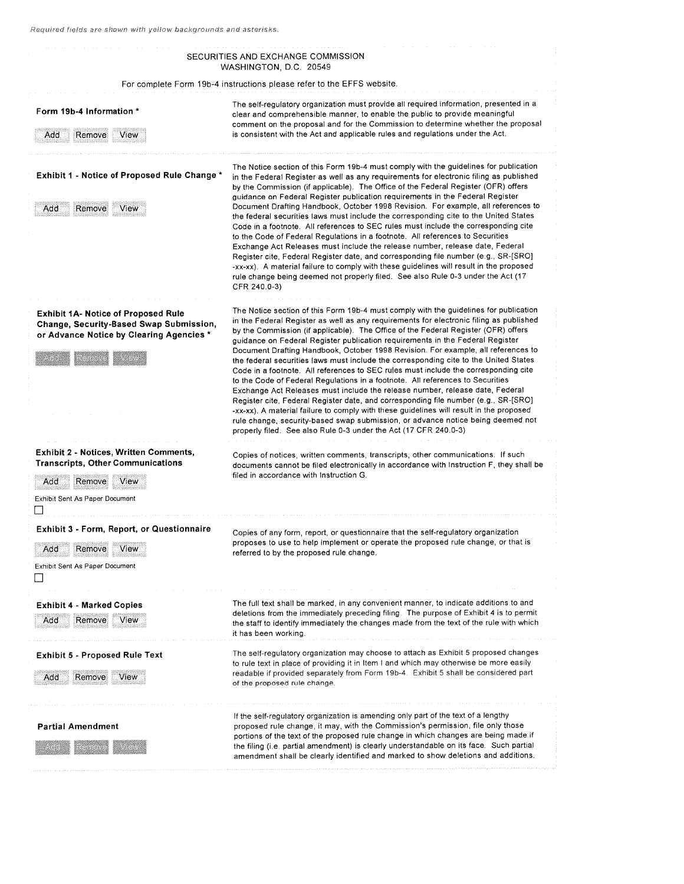#### SECURITIES AND EXCHANGE COMMISSION WASHINGTON, D.C. 20549 For complete Form 19b-4 instructions please refer to the EFFS website. The self-regulatory organization must provide all required information, presented in a<br>clear and comprehensible manner, to enable the public to provide meaningful comment on the proposa<sup>l</sup> and for the Commission to determine whether the proposa<sup>l</sup> Add Remove View is consistent with the Act and applicable rules and regulations under the Act. The Notice section of this Form 19b-4 must comply with the guidelines for publication Exhibit <sup>I</sup> - Notice of Proposed Rule Change \* in the Federal Register as well as any requirements for electronic filing as published by the Commission (if applicable). The Office of the Federal Register (OFR) offers guidance on Federal Register publication requirements in the Federal Register Add Remove View Document Drafting Handbook, October 1998 Revision. For example, all references to the federal securities laws must include the corresponding cite to the United States Code in <sup>a</sup> footnote. All references to SEC rules must include the corresponding cite to the Code of Federal Regulations in <sup>a</sup> footnote. All references to Securities Exchange Act Releases must include the release number, release date, Federal Register cite, Federal Register date, and corresponding file number (e.g., SR-[SRO] -xx-xx), <sup>A</sup> material failure to comply with these guidelines will result in the proposed rule change being deemed not properly filed. See also Rule 0-3 under the Act (17 CFR 240.0-3) Exhibit 1A- Notice of Proposed Rule The Notice section of this Form 19b-4 must comply with the guidelines for publication<br>Change, Security-Based Swap Submission, in the Federal Register as well as any requirements for elec in the Federal Register as well as any requirements for electronic filing as published<br>by the Commission (if applicable). The Office of the Federal Register (OFR) offers or Advance Notice by Clearing Agencies \* by the Commission (if applicable). The Office of the Federal Register (OFR) offers guidance on Federal Register publication requirements in the Federal Register publication requirem Document Drafting Handbook, October 1998 Revision. For example, all references to the federal securities laws must include the corresponding cite to the United States Code in <sup>a</sup> footnote. All references to SEC rules must include the corresponding cite to the Code of Federal Regulations in <sup>a</sup> footnote. All references to Securities Exchange Act Releases must include the release number, release date, Federal Register cite, Federal Register date, and corresponding file number (e.g., SR-[SRO] -xx-xx). A material failure to comply with these guidelines will result in the proposed rule change, security-based swap submission, or advance notice being deemed not properly filed. See also Rule 0-3 under the Act (17 CFR 240.0-3) Exhibit 2 - Notices, Written Comments, Copies of notices, written comments, transcripts, other communications If such<br>Transcripts, Other Communications and documents cannot be filed electronically in accordance with Instru documents cannot be filed electronically in accordance with Instruction F, they shall be filed in accordance with Instruction G. Add Remove View Exhibit Sent As Paper Document  $\Box$ Exhibit 3 - Form, Report, or Questionnaire Copies of any form, report, or questionnaire that the self-regulatory organization proposes to use to help implement or operate the proposed rule change, or that is Add Remove View referred to by the proposed rule change. Exhibit Sent As Paper Document LI Exhibit 4 - Marked Copies The The full text shall be marked, in any convenient manner, to indicate additions to and deletions from the immediately preceding filing. The purpose of Exhibit 4 is to permit Add Remove View the staff to identify immediately the changes made from the text of the rule with which it has been working. Exhibit <sup>5</sup> - Proposed Rule Text The self-regulatory organization may choose to attach as Exhibit <sup>5</sup> propose<sup>d</sup> changes to rule text in place of providing it in Item I and which may otherwise be more easily Add Remove View readable if provided separately from Form 19b-4. Exhibit 5 shall be considered part of the proposed rule change If the self-regulatory organization is amending only par<sup>t</sup> of the text of <sup>a</sup> lengthy Partial Amendment **proposed rule change, it may, with the Commission's permission**, file only those portions of the text of the propose<sup>d</sup> rule change in which changes are being made if the filing (i.e. partial amendment) is clearly understandable on its face. Such partial amendment shall be clearly identified and marked to show deletions and additions.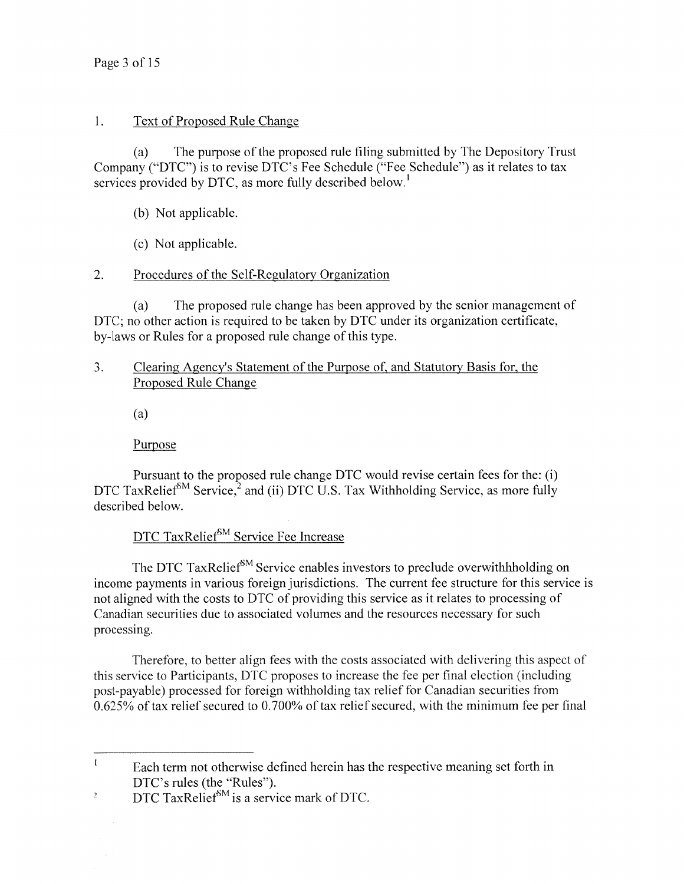#### 1. Text of Proposed Rule Change

(a) The purpose of the proposed rule filing submitted by The Depository Trust Company ("DTC") is to revise DTC's Fee Schedule ("Fee Schedule") as it relates to tax services provided by DTC, as more fully described below.<sup>1</sup>

- (b) Not applicable.
- (c) Not applicable.

### 2. Procedures of the Self-Regulatory Organization

(a) The proposed rule change has been approved by the senior managemen<sup>t</sup> of DTC; no other action is required to be taken by DTC under its organization certificate, by-laws or Rules for <sup>a</sup> proposed rule change of this type.

#### 3. Clearing Agency's Statement of the Purpose of, and Statutory Basis for, the Proposed Rule Change

(a)

Purpose

Pursuant to the proposed rule change DTC would revise certain fees for the: (i) DTC TaxRelief<sup>SM</sup> Service,<sup>2</sup> and (ii) DTC U.S. Tax Withholding Service, as more fully described below.

# DTC TaxRelief<sup>SM</sup> Service Fee Increase

The DTC TaxRelief<sup>SM</sup> Service enables investors to preclude overwithhholding on income payments in various foreign jurisdictions. The current fee structure for this service is not aligned with the costs to DTC of providing this service as it relates to processing of Canadian securities due to associated volumes and the resources necessary for such processing.

Therefore. to better align fees with the costs associated with delivering this aspec<sup>t</sup> of this service to Participants. DTC proposes to increase the fee per final election (including post-payable) processed for foreign withholding tax relief for Canadian securities from 0.625% of tax relief secured to 0.700% of tax relief secured, with the minimum fee per final

 $\mathbf{I}$ Each term not otherwise defined herein has the respective meaning set forth in DTC's rules (the "Rules").

<sup>&</sup>lt;sup>2</sup> DTC TaxRelief<sup>SM</sup> is a service mark of DTC.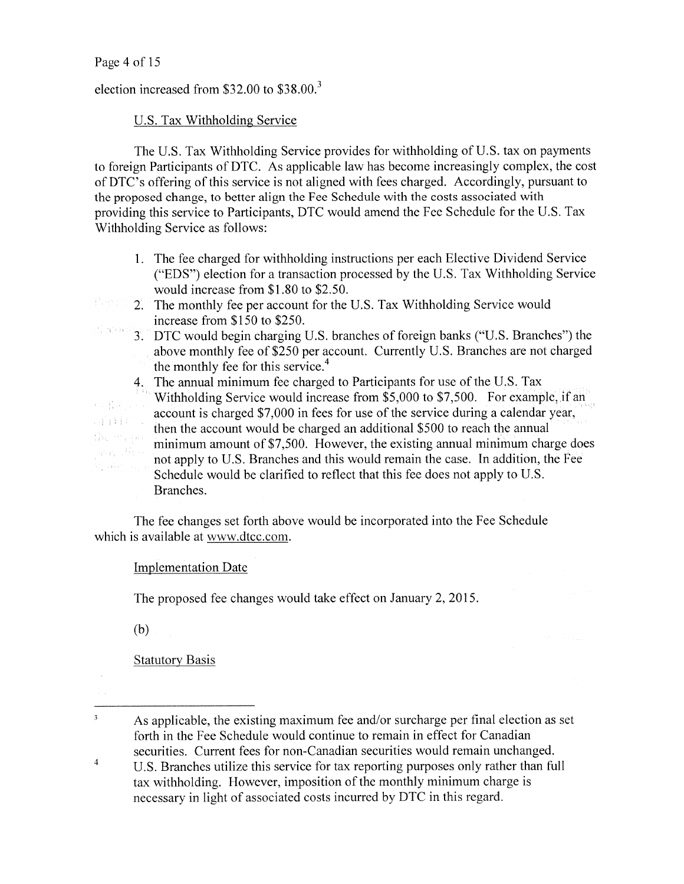election increased from \$32.00 to \$38.00.

# U.S. Tax Withholding Service

The U.S. Tax Withholding Service provides for withholding of U.S. tax on payments to foreign Participants of DTC. As applicable law has become increasingly complex, the cost of DTC's offering of this service is not aligned with fees charged. Accordingly, pursuan<sup>t</sup> to the proposed change, to better align the Fee Schedule with the costs associated with providing this service to Participants, DTC would amend the Fee Schedule for the U.S. Tax Withholding Service as follows:

- 1. The fee charged for withholding instructions per each Elective Dividend Service ("EDS") election for <sup>a</sup> transaction processed by the U.S. Tax Withholding Service would increase from \$1.80 to \$2.50.
- Part 1 2. The monthly fee per account for the U.S. Tax Withholding Service would increase from \$150 to \$250.  $\mathcal{L}^{\mathbb{Z}}_{\mathbb{Z}}(\mathcal{K})$  ( ) is (
	- 3. DTC would begin charging U.S. branches of foreign banks ("U.S. Branches") the above monthly fee of \$250 per account. Currently U.S. Branches are not charged the monthly fee for this service. 4

4. The annual minimum fee charged to Participants for use of the U.S. Tax Withholding Service would increase from \$5,000 to \$7,500. For example, if an account is charged \$7,000 in fees for use of the service during <sup>a</sup> calendar year, then the account would be charged an additional \$500 to reach the annual minimum amount of \$7,500. However, the existing annual minimum charge does not apply to U.S. Branches and this would remain the case. In addition, the Fee Schedule would be clarified to reflect that this fee does not apply to U.S. Branches.

The fee changes set forth above would be incorporated into the Fee Schedule which is available at www.dtcc.com.

### Implementation Date

The proposed fee changes would take effect on January 2, 2015.

(b)

 $\lambda_{\rm{max}}=\frac{1}{2}\frac{1}{4}\left(1/\lambda\right)$ 耳目目にく

in sala

 $\overline{\mathbf{3}}$ 

**Statutory Basis** 

 $\overline{4}$ U.S. Branches utilize this service for tax reporting purposes only rather than full tax withholding. However, imposition of the monthly minimum charge is necessary in light of associated costs incurred by DTC in this regard.

As applicable, the existing maximum fee and/or surcharge per final election as set forth in the Fee Schedule would continue to remain in effect for Canadian securities. Current fees for non-Canadian securities would remain unchanged.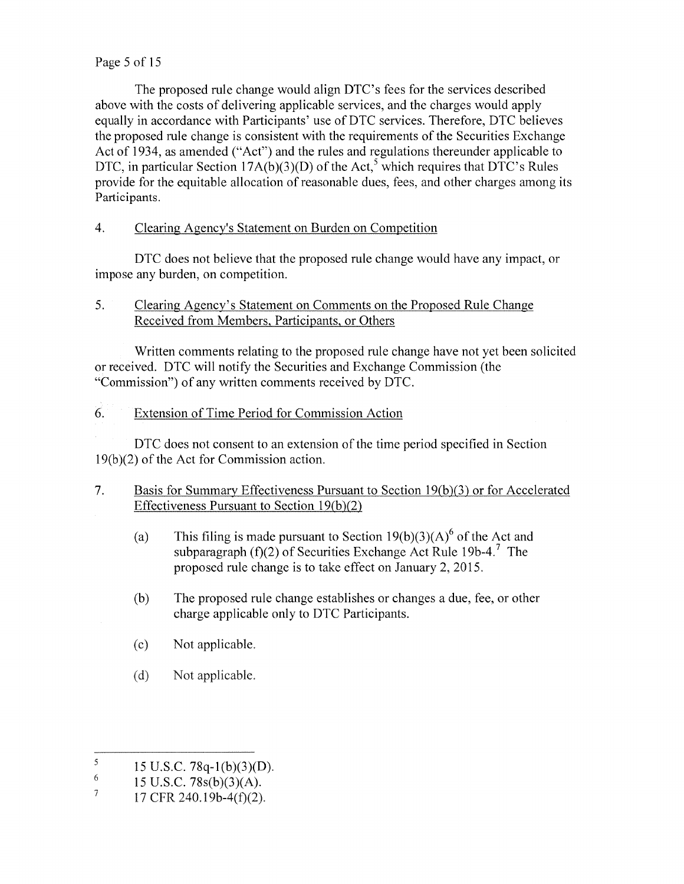### Page 5 of 15

The proposed rule change would align DTC's fees for the services described above with the costs of delivering applicable services, and the charges would apply equally in accordance with Participants' use of DTC services. Therefore, DTC believes the proposed rule change is consistent with the requirements of the Securities Exchange Act of 1934, as amended ("Act") and the rules and regulations thereunder applicable to DTC, in particular Section 17A(b)(3)(D) of the Act,<sup>5</sup> which requires that DTC's Rules provide for the equitable allocation of reasonable dues, fees, and other charges among its Participants.

# 4. Clearing Agency's Statement on Burden on Competition

DTC does not believe that the proposed rule change would have any impact, or impose any burden, on competition.

# 5. Clearing Agency's Statement on Comments on the Proposed Rule Change Received from Members, Participants, or Others

Written comments relating to the proposed rule change have not ye<sup>t</sup> been solicited or received. DTC will notify the Securities and Exchange Commission (the "Commission") of any written comments received by DTC.

# 6. Extension of Time Period for Commission Action

DTC does not consent to an extension of the time period specified in Section 1 9(b)(2) of the Act for Commission action.

- 7. Basis for Summary Effectiveness Pursuant to Section 19(b)(3) or for Accelerated Effectiveness Pursuant to Section  $19(b)(2)$ 
	- (a) This filing is made pursuant to Section  $19(b)(3)(A)^6$  of the Act and subparagraph (f) $(2)$  of Securities Exchange Act Rule 19b-4.<sup>7</sup> The proposed rule change is to take effect on January 2, 2015.
	- (b) The proposed rule change establishes or changes <sup>a</sup> due, fee, or other charge applicable only to DTC Participants.
	- (c) Not applicable.
	- (d) Not applicable.

 $\sqrt{5}$ 15 U.S.C. 78q-1(b)(3)(D).

<sup>&</sup>lt;sup>6</sup> 15 U.S.C. 78s(b)(3)(A).

<sup>17</sup> CFR 240.19b-4(f)(2).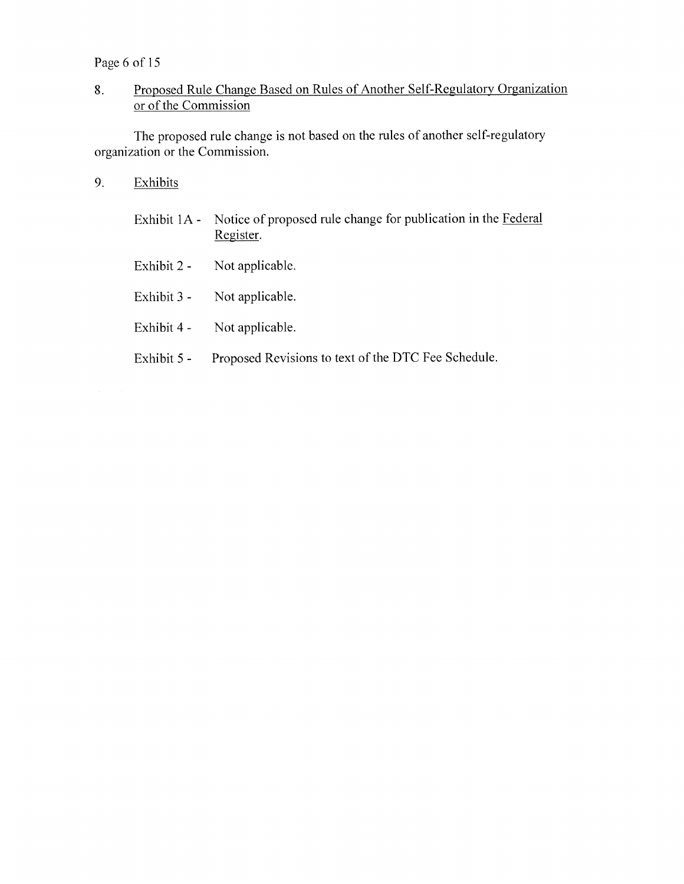Page 6 of 15

# 8. Proposed Rule Change Based on Rules of Another Self-Regulatory Organization or of the Commission

The propose<sup>d</sup> rule change is not based on the rules of another self-regulatory organization or the Commission.

- 9. Exhibits
	- Exhibit IA Notice of proposed rule change for publication in the Federal Register.
	- Exhibit 2 Not applicable.
	- Exhibit 3 Not applicable.
	- Exhibit 4 Not applicable.
	- Exhibit 5 Proposed Revisions to text of the DTC Fee Schedule.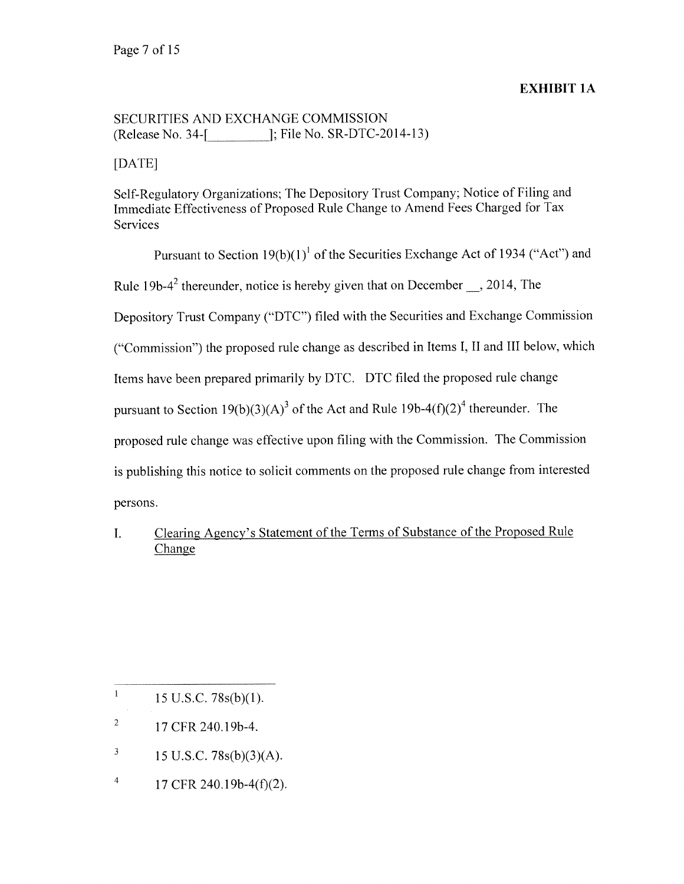#### EXHIBIT IA

# SECURITIES AND EXCHANGE COMMISSION (Release No. 34-[1]); File No. SR-DTC-2014-13)

[DATE]

Self-Regulatory Organizations; The Depository Trust Company; Notice of Filing and Immediate Effectiveness of Proposed Rule Change to Amend Fees Charged for Tax Services

Pursuant to Section  $19(b)(1)^1$  of the Securities Exchange Act of 1934 ("Act") and Rule 19b-4<sup>2</sup> thereunder, notice is hereby given that on December —, 2014, The Depository Trust Company ("DTC") filed with the Securities and Exchange Commission ("Commission") the propose<sup>d</sup> rule change as described in Items I, II and III below, which Items have been prepare<sup>d</sup> primarily by DTC. DTC filed the propose<sup>d</sup> rule change pursuant to Section 19(b)(3)(A)<sup>3</sup> of the Act and Rule 19b-4(f)(2)<sup>4</sup> thereunder. The propose<sup>d</sup> rule change was effective upon filing with the Commission. The Commission is publishing this notice to solicit comments on the propose<sup>d</sup> rule change from interested persons.

I. Clearing Agency's Statement of the Terms of Substance of the Proposed Rule Change

 $\mathbf{l}$ 15 U.S.C. 78s(b)(l).

- $^{2}$  17 CFR 240.19b-4.
- $\sqrt{3}$ 15 U.S.C. 78s(b)(3)(A).
- $\overline{4}$ 17 CFR 240.19b-4(f)(2).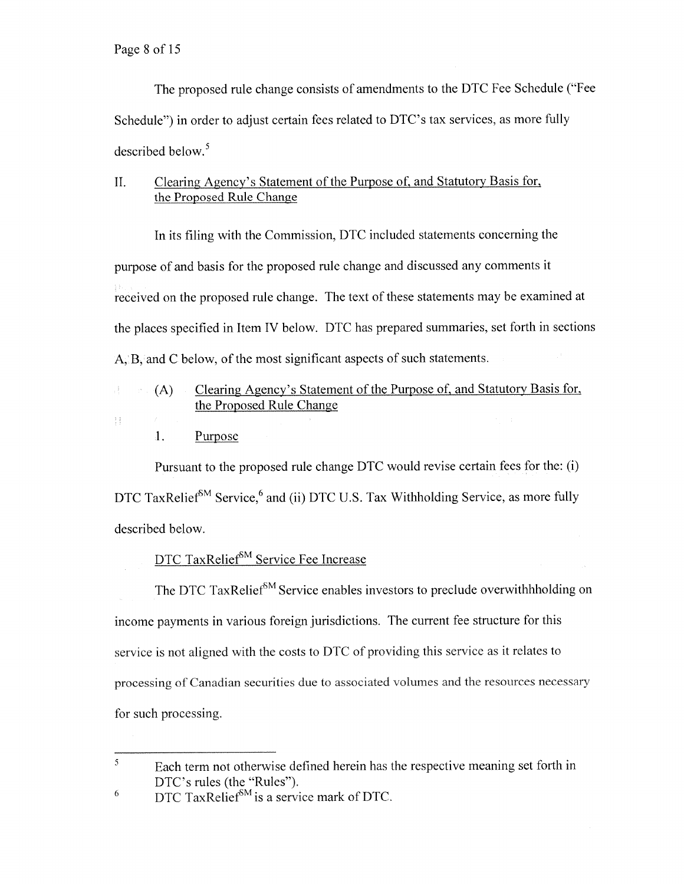The propose<sup>d</sup> rule change consists of amendments to the DTC Fee Schedule ("Fee Schedule") in order to adjust certain fees related to DTC's tax services, as more fully described below.<sup>5</sup>

# II. Clearing Agency's Statement of the Purpose of, and Statutory Basis for, the Proposed Rule Change

In its filing with the Commission, DTC included statements concerning the purpose of and basis for the propose<sup>d</sup> rule change and discussed any comments it received on the proposed rule change. The text of these statements may be examined at the <sup>p</sup>laces specified in Item IV below. DTC has prepare<sup>d</sup> summaries, set forth in sections A, B, and C below, of the most significant aspects of such statements.

- (A) Clearing Agency's Statement of the Purpose of, and Statutory Basis for, 군. the Proposed Rule Change
- 手机
- 1. Purpose

Pursuant to the propose<sup>d</sup> rule change DTC would revise certain fees for the: (i) DTC TaxRelief<sup>SM</sup> Service,<sup>6</sup> and (ii) DTC U.S. Tax Withholding Service, as more fully described below.

# DTC TaxRelief<sup>SM</sup> Service Fee Increase

The DTC TaxRelief<sup>SM</sup> Service enables investors to preclude overwithhholding on income payments in various foreign jurisdictions. The current fee structure for this service is not aligned with the costs to DTC of providing this service as it relates to processing of Canadian securities due to associated volumes and the resources necessary for such processing.

<sup>5</sup> Each term not otherwise defined herein has the respective meaning set forth in DTC's rules (the "Rules").

 $^{6}$  DTC TaxRelief<sup>SM</sup> is a service mark of DTC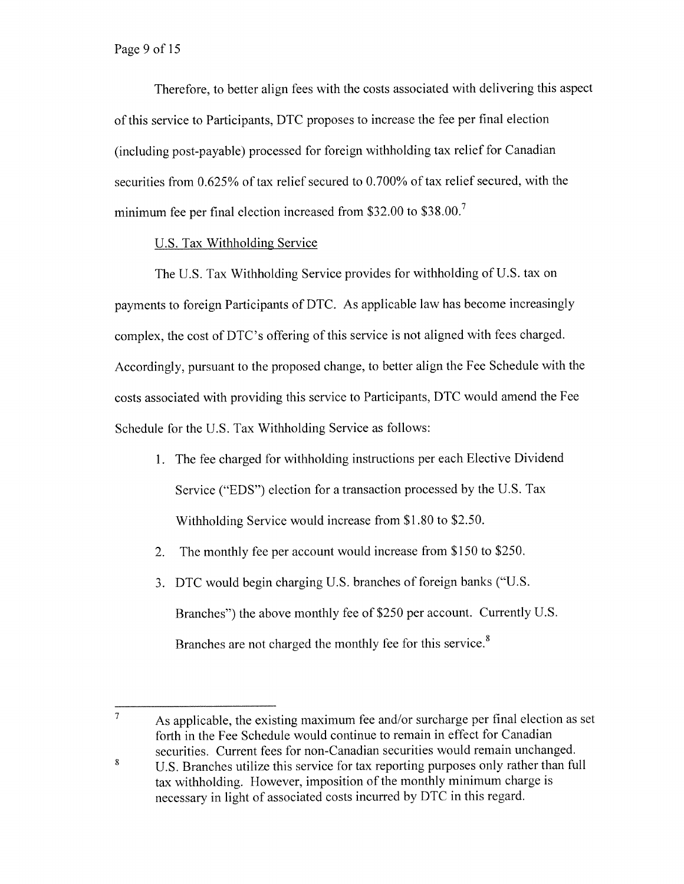Therefore, to better align fees with the costs associated with delivering this aspec<sup>t</sup> of this service to Participants, DTC proposes to increase the fee per final election (including post-payable) processe<sup>d</sup> for foreign withholding tax relief for Canadian securities from 0.625% of tax relief secured to 0.700% of tax relief secured, with the minimum fee per final election increased from \$32.00 to \$38.00.<sup>7</sup>

# U.S. Tax Withholding Service

The U.S. Tax Withholding Service provides for withholding of U.S. tax on payments to foreign Participants of DTC. As applicable law has become increasingly complex, the cost of DTC's offering of this service is not aligned with fees charged. Accordingly, pursuan<sup>t</sup> to the propose<sup>d</sup> change, to better align the Fee Schedule with the costs associated with providing this service to Participants, DTC would amend the Fee Schedule for the U.S. Tax Withholding Service as follows:

- 1. The fee charged for withholding instructions per each Elective Dividend Service ("EDS") election for <sup>a</sup> transaction processed by the U.S. Tax Withholding Service would increase from \$1.80 to \$2.50.
- 2. The monthly fee per account would increase from \$150 to \$250.
- 3. DTC would begin charging U.S. branches of foreign banks ("U.S. Branches") the above monthly fee of \$250 per account. Currently U.S. Branches are not charged the monthly fee for this service.<sup>8</sup>

 $\overline{7}$ As applicable, the existing maximum fee and/or surcharge per final election as set forth in the Fee Schedule would continue to remain in effect for Canadian securities. Current fees for non-Canadian securities would remain unchanged.

<sup>&</sup>lt;sup>8</sup> U.S. Branches utilize this service for tax reporting purposes only rather than full tax withholding. However, imposition of the monthly minimum charge is necessary in light of associated costs incurred by DTC in this regard.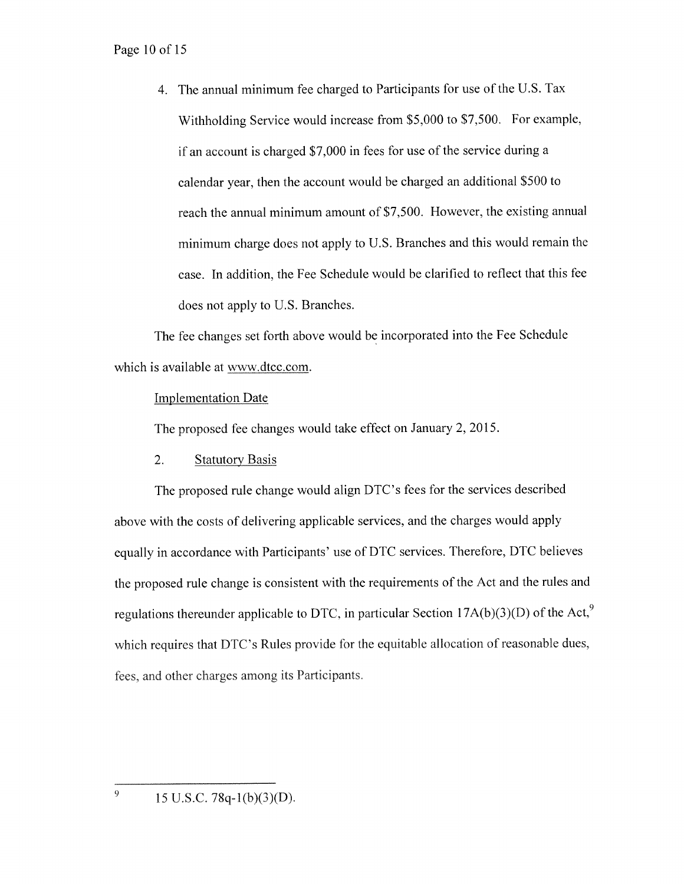#### Page 10 of 15

4. The annual minimum fee charged to Participants for use of the U.S. Tax Withholding Service would increase from \$5,000 to \$7,500. For example, if an account is charged \$7,000 in fees for use of the service during <sup>a</sup> calendar year, then the account would be charged an additional \$500 to reach the annual minimum amount of \$7,500. However, the existing annual minimum charge does not apply to U.S. Branches and this would remain the case. In addition, the Fee Schedule would be clarified to reflect that this fee does not apply to U.S. Branches.

The fee changes set forth above would be incorporated into the Fee Schedule which is available at www.dtcc.com.

#### Implementation Date

The proposed fee changes would take effect on January 2,2015.

#### 2. Statutory Basis

The propose<sup>d</sup> rule change would align DTC's fees for the services described above with the costs of delivering applicable services, and the charges would apply equally in accordance with Participants' use of DTC services. Therefore, DTC believes the propose<sup>d</sup> rule change is consistent with the requirements of the Act and the rules and regulations thereunder applicable to DTC, in particular Section  $17A(b)(3)(D)$  of the Act,<sup>9</sup> which requires that DTC's Rules provide for the equitable allocation of reasonable dues, fees, and other charges among its Participants.

9

<sup>15</sup> U.S.C. 78q-1(b)(3)(D).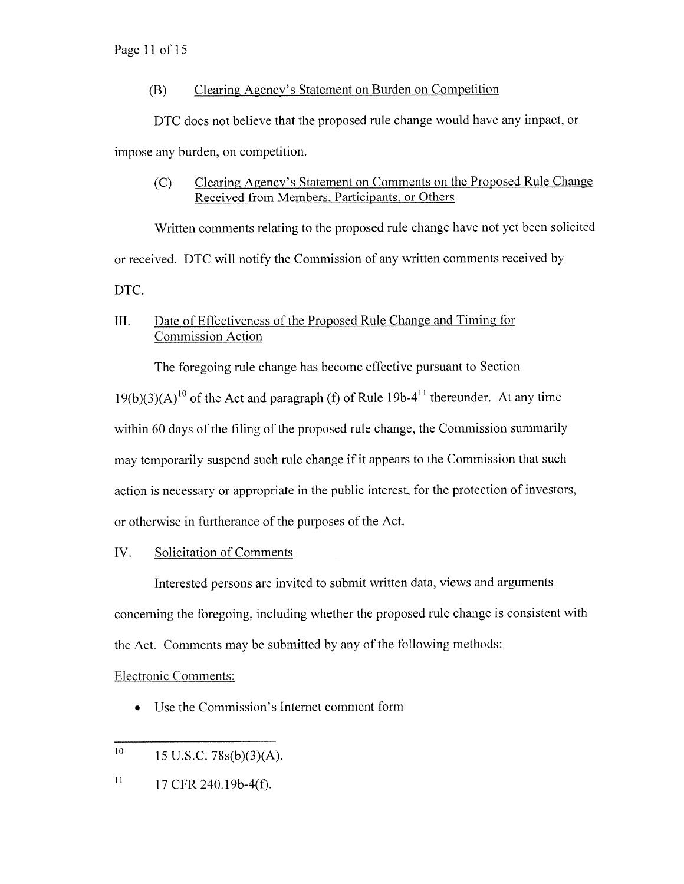# (B) Clearing Agency's Statement on Burden on Competition

DTC does not believe that the proposed rule change would have any impact, or impose any burden, on competition.

(C) Clearing Agency's Statement on Comments on the Proposed Rule Change Received from Members, Participants. or Others

Written comments relating to the proposed rule change have not ye<sup>t</sup> been solicited or received. DTC will notify the Commission of any written comments received by DTC.

# III. Date of Effectiveness of the Proposed Rule Change and Timing for Commission Action

The foregoing rule change has become effective pursuan<sup>t</sup> to Section

 $19(b)(3)(A)^{10}$  of the Act and paragraph (f) of Rule 19b-4<sup>11</sup> thereunder. At any time within <sup>60</sup> days of the filing of the propose<sup>d</sup> rule change, the Commission summarily may temporarily suspen<sup>d</sup> such rule change if it appears to the Commission that such action is necessary or appropriate in the public interest, for the protection of investors, or otherwise in furtherance of the purposes of the Act.

# TV. Solicitation of Comments

Interested persons are invited to submit written data, views and arguments concerning the foregoing, including whether the propose<sup>d</sup> rule change is consistent with the Act. Comments may be submitted by any of the following methods:

# Electronic Comments:

•Use the Commission's Internet comment form

l. 17 CFR 240.19b-4(f).

 $10\,$ 15 U.S.C. 78s(b)(3)(A).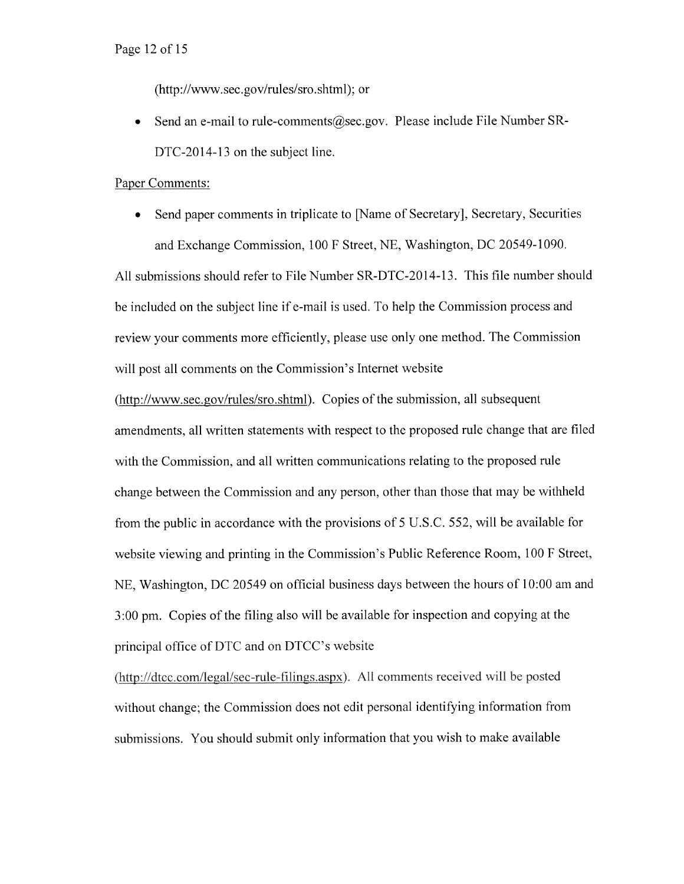#### Page 12 of 15

(http ://www.sec.gov/rules/sro .shtml); or

Send an e-mail to rule-comments@sec.gov. Please include File Number SR-DTC-2014-13 on the subject line.

#### Paper Comments:

• Send paper comments in triplicate to [Name of Secretary], Secretary, Securities and Exchange Commission, 100 <sup>F</sup> Street, NE, Washington, DC 20549-1090.

All submissions should refer to File Number SR-DTC-2014-13. This file number should be included on the subject line if e-mail is used. To help the Commission process and review your comments more efficiently, <sup>p</sup>lease use only one method. The Commission will pos<sup>t</sup> all comments on the Commission's Internet website

(http://www.sec.gov/rules/sro.shtml). Copies of the submission, all subsequent amendments, all written statements with respec<sup>t</sup> to the proposed rule change that are filed with the Commission, and all written communications relating to the proposed rule change between the Commission and any person, other than those that may be withheld from the public in accordance with the provisions of 5 U.S.C. 552, will be available for website viewing and printing in the Commission's Public Reference Room, 100 <sup>F</sup> Street, NE, Washington, DC 20549 on official business days between the hours of 10:00 am and 3:00 pm. Copies of the filing also will be available for inspection and copying at the principal office of DTC and on DTCC's website

(http://dtcc.com/legal/sec-rule-filings.aspx). All comments received will be posted without change; the Commission does not edit persona<sup>l</sup> identifying information from submissions. You should submit only information that you wish to make available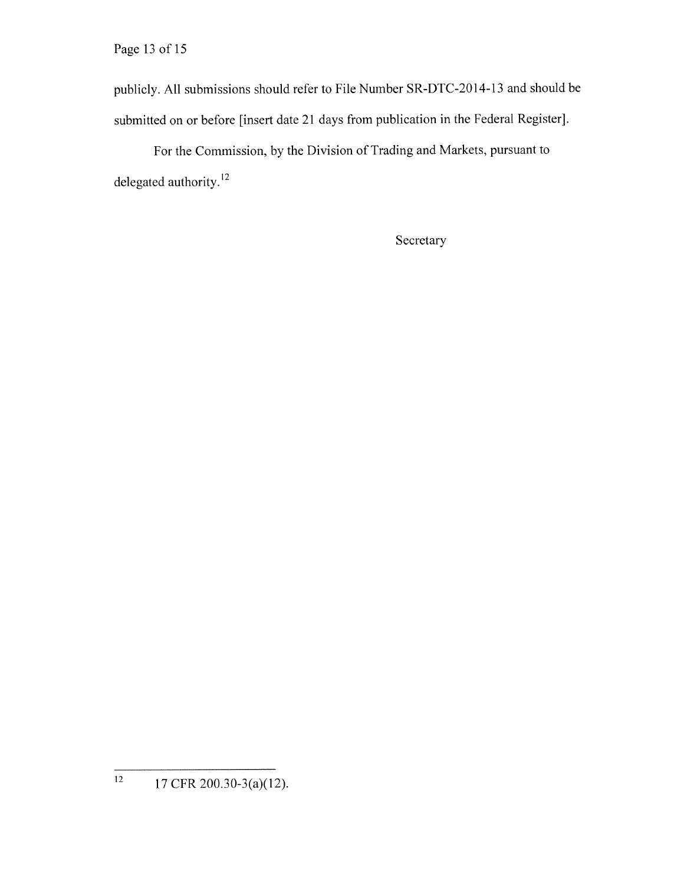Page 13 of 15

publicly. All submissions should refer to File Number SR-DTC-2014-13 and should be submitted on or before [insert date <sup>21</sup> days from publication in the Federal Register].

For the Commission, by the Division of Trading and Markets, pursuan<sup>t</sup> to delegated authority.<sup>12</sup>

Secretary

 $12$  17 CFR 200.30-3(a)(12).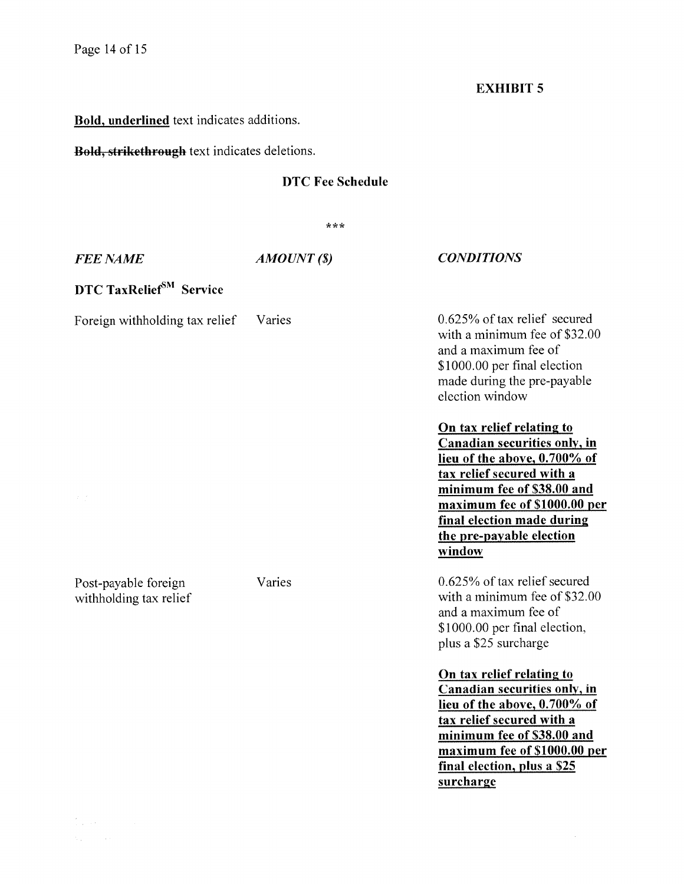# EXHIBIT 5

# Bold, underlined text indicates additions.

Bold, strikcthrough text indicates deletions.

# DTC Fee Schedule

 $***$ 

| <b>FEE NAME</b>                                | AMOUNT(S) | <b>CONDITIONS</b>                                                                                                                                                                                                                |  |  |  |  |
|------------------------------------------------|-----------|----------------------------------------------------------------------------------------------------------------------------------------------------------------------------------------------------------------------------------|--|--|--|--|
| DTC TaxRelief <sup>SM</sup> Service            |           |                                                                                                                                                                                                                                  |  |  |  |  |
| Foreign withholding tax relief                 | Varies    | $0.625\%$ of tax relief secured<br>with a minimum fee of \$32.00<br>and a maximum fee of<br>\$1000.00 per final election<br>made during the pre-payable<br>election window                                                       |  |  |  |  |
| $\mathcal{F}(\mathcal{G})$                     |           | On tax relief relating to<br>Canadian securities only, in<br>lieu of the above, 0.700% of<br>tax relief secured with a<br>minimum fee of \$38.00 and<br>maximum fee of \$1000.00 per                                             |  |  |  |  |
|                                                |           | final election made during<br>the pre-payable election<br>window                                                                                                                                                                 |  |  |  |  |
| Post-payable foreign<br>withholding tax relief | Varies    | 0.625% of tax relief secured<br>with a minimum fee of \$32.00<br>and a maximum fee of<br>\$1000.00 per final election,<br>plus a \$25 surcharge                                                                                  |  |  |  |  |
|                                                |           | On tax relief relating to<br>Canadian securities only, in<br>lieu of the above, 0.700% of<br>tax relief secured with a<br>minimum fee of \$38.00 and<br>maximum fee of \$1000.00 per<br>final election, plus a \$25<br>surcharge |  |  |  |  |